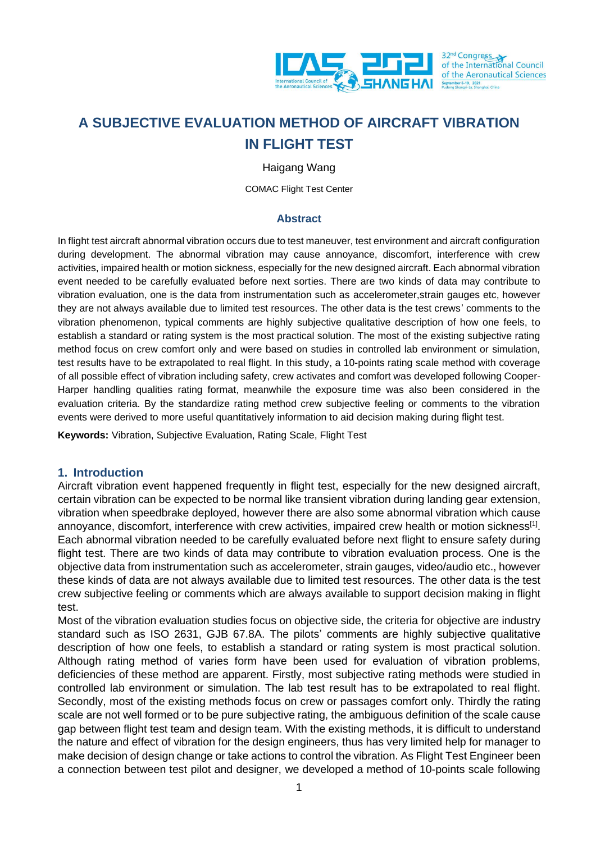

32<sup>nd</sup> Congress<br>of the International Council of the Aeronautical Sciences

# **A SUBJECTIVE EVALUATION METHOD OF AIRCRAFT VIBRATION IN FLIGHT TEST**

Haigang Wang

COMAC Flight Test Center

#### **Abstract**

In flight test aircraft abnormal vibration occurs due to test maneuver, test environment and aircraft configuration during development. The abnormal vibration may cause annoyance, discomfort, interference with crew activities, impaired health or motion sickness, especially for the new designed aircraft. Each abnormal vibration event needed to be carefully evaluated before next sorties. There are two kinds of data may contribute to vibration evaluation, one is the data from instrumentation such as accelerometer,strain gauges etc, however they are not always available due to limited test resources. The other data is the test crews' comments to the vibration phenomenon, typical comments are highly subjective qualitative description of how one feels, to establish a standard or rating system is the most practical solution. The most of the existing subjective rating method focus on crew comfort only and were based on studies in controlled lab environment or simulation, test results have to be extrapolated to real flight. In this study, a 10-points rating scale method with coverage of all possible effect of vibration including safety, crew activates and comfort was developed following Cooper-Harper handling qualities rating format, meanwhile the exposure time was also been considered in the evaluation criteria. By the standardize rating method crew subjective feeling or comments to the vibration events were derived to more useful quantitatively information to aid decision making during flight test.

**Keywords:** Vibration, Subjective Evaluation, Rating Scale, Flight Test

#### **1. Introduction**

Aircraft vibration event happened frequently in flight test, especially for the new designed aircraft, certain vibration can be expected to be normal like transient vibration during landing gear extension, vibration when speedbrake deployed, however there are also some abnormal vibration which cause annoyance, discomfort, interference with crew activities, impaired crew health or motion sickness<sup>[1]</sup>. Each abnormal vibration needed to be carefully evaluated before next flight to ensure safety during flight test. There are two kinds of data may contribute to vibration evaluation process. One is the objective data from instrumentation such as accelerometer, strain gauges, video/audio etc., however these kinds of data are not always available due to limited test resources. The other data is the test crew subjective feeling or comments which are always available to support decision making in flight test.

Most of the vibration evaluation studies focus on objective side, the criteria for objective are industry standard such as ISO 2631, GJB 67.8A. The pilots' comments are highly subjective qualitative description of how one feels, to establish a standard or rating system is most practical solution. Although rating method of varies form have been used for evaluation of vibration problems, deficiencies of these method are apparent. Firstly, most subjective rating methods were studied in controlled lab environment or simulation. The lab test result has to be extrapolated to real flight. Secondly, most of the existing methods focus on crew or passages comfort only. Thirdly the rating scale are not well formed or to be pure subjective rating, the ambiguous definition of the scale cause gap between flight test team and design team. With the existing methods, it is difficult to understand the nature and effect of vibration for the design engineers, thus has very limited help for manager to make decision of design change or take actions to control the vibration. As Flight Test Engineer been a connection between test pilot and designer, we developed a method of 10-points scale following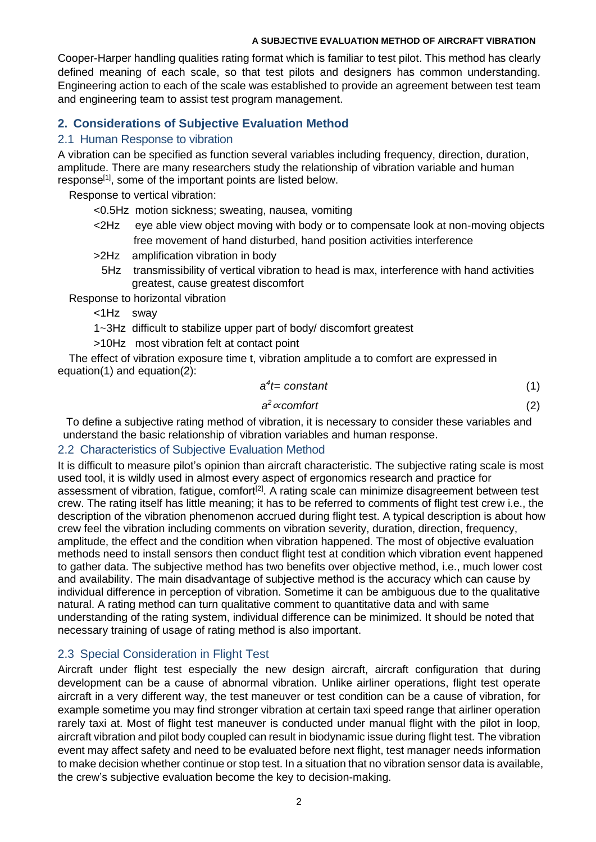#### **A SUBJECTIVE EVALUATION METHOD OF AIRCRAFT VIBRATION**

**IN FLIGHT TEST** Cooper-Harper handling qualities rating format which is familiar to test pilot. This method has clearly defined meaning of each scale, so that test pilots and designers has common understanding. Engineering action to each of the scale was established to provide an agreement between test team and engineering team to assist test program management.

# **2. Considerations of Subjective Evaluation Method**

### 2.1 Human Response to vibration

A vibration can be specified as function several variables including frequency, direction, duration, amplitude. There are many researchers study the relationship of vibration variable and human response<sup>[1]</sup>, some of the important points are listed below.

Response to vertical vibration:

- <0.5Hz motion sickness; sweating, nausea, vomiting
- <2Hz eye able view object moving with body or to compensate look at non-moving objects free movement of hand disturbed, hand position activities interference
- >2Hz amplification vibration in body
	- 5Hz transmissibility of vertical vibration to head is max, interference with hand activities greatest, cause greatest discomfort

Response to horizontal vibration

- <1Hz sway
- 1~3Hz difficult to stabilize upper part of body/ discomfort greatest
- >10Hz most vibration felt at contact point

The effect of vibration exposure time t, vibration amplitude a to comfort are expressed in equation(1) and equation(2):

$$
a^4 = constant \tag{1}
$$

$$
a^2 \propto \text{comfort} \tag{2}
$$

To define a subjective rating method of vibration, it is necessary to consider these variables and understand the basic relationship of vibration variables and human response.

# 2.2 Characteristics of Subjective Evaluation Method

It is difficult to measure pilot's opinion than aircraft characteristic. The subjective rating scale is most used tool, it is wildly used in almost every aspect of ergonomics research and practice for assessment of vibration, fatigue, comfort<sup>[2]</sup>. A rating scale can minimize disagreement between test crew. The rating itself has little meaning; it has to be referred to comments of flight test crew i.e., the description of the vibration phenomenon accrued during flight test. A typical description is about how crew feel the vibration including comments on vibration severity, duration, direction, frequency, amplitude, the effect and the condition when vibration happened. The most of objective evaluation methods need to install sensors then conduct flight test at condition which vibration event happened to gather data. The subjective method has two benefits over objective method, i.e., much lower cost and availability. The main disadvantage of subjective method is the accuracy which can cause by individual difference in perception of vibration. Sometime it can be ambiguous due to the qualitative natural. A rating method can turn qualitative comment to quantitative data and with same understanding of the rating system, individual difference can be minimized. It should be noted that necessary training of usage of rating method is also important.

# 2.3 Special Consideration in Flight Test

Aircraft under flight test especially the new design aircraft, aircraft configuration that during development can be a cause of abnormal vibration. Unlike airliner operations, flight test operate aircraft in a very different way, the test maneuver or test condition can be a cause of vibration, for example sometime you may find stronger vibration at certain taxi speed range that airliner operation rarely taxi at. Most of flight test maneuver is conducted under manual flight with the pilot in loop, aircraft vibration and pilot body coupled can result in biodynamic issue during flight test. The vibration event may affect safety and need to be evaluated before next flight, test manager needs information to make decision whether continue or stop test. In a situation that no vibration sensor data is available, the crew's subjective evaluation become the key to decision-making.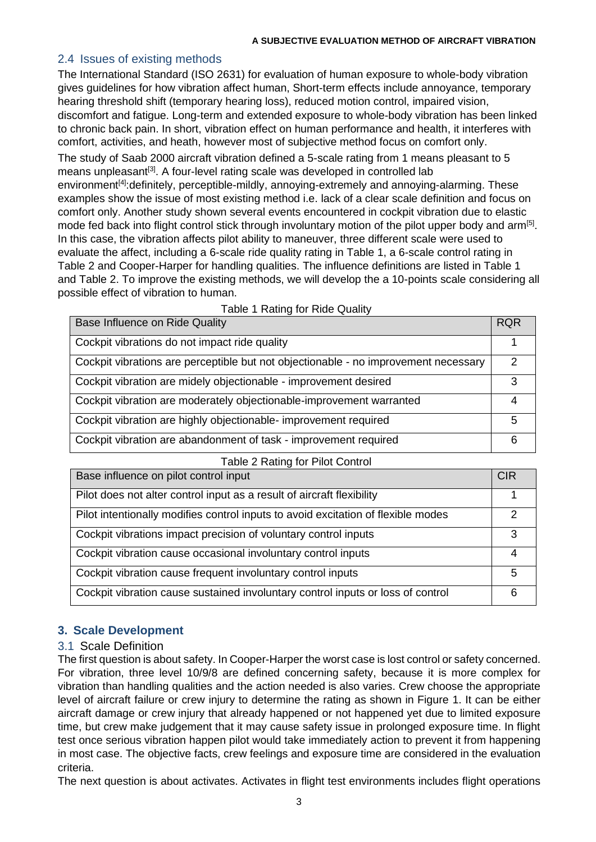# 2.4 Issues of existing methods

possible effect of vibration to human.

The International Standard (ISO 2631) for evaluation of human exposure to whole-body vibration gives guidelines for how vibration affect human, Short-term effects include annoyance, temporary hearing threshold shift (temporary hearing loss), reduced motion control, impaired vision, discomfort and fatigue. Long-term and extended exposure to whole-body vibration has been linked to chronic back pain. In short, vibration effect on human performance and health, it interferes with comfort, activities, and heath, however most of subjective method focus on comfort only. The study of Saab 2000 aircraft vibration defined a 5-scale rating from 1 means pleasant to 5 means unpleasant<sup>[3]</sup>. A four-level rating scale was developed in controlled lab environment<sup>[4]</sup>:definitely, perceptible-mildly, annoying-extremely and annoying-alarming. These examples show the issue of most existing method i.e. lack of a clear scale definition and focus on comfort only. Another study shown several events encountered in cockpit vibration due to elastic mode fed back into flight control stick through involuntary motion of the pilot upper body and arm<sup>[5]</sup>. In this case, the vibration affects pilot ability to maneuver, three different scale were used to evaluate the affect, including a 6-scale ride quality rating in Table 1, a 6-scale control rating in Table 2 and Cooper-Harper for handling qualities. The influence definitions are listed in Table 1

**IN FLIGHT TEST**

| Base Influence on Ride Quality                                                      | <b>RQR</b> |
|-------------------------------------------------------------------------------------|------------|
| Cockpit vibrations do not impact ride quality                                       |            |
| Cockpit vibrations are perceptible but not objectionable - no improvement necessary | 2          |
| Cockpit vibration are midely objectionable - improvement desired                    | 3          |
| Cockpit vibration are moderately objectionable-improvement warranted                | 4          |
| Cockpit vibration are highly objectionable- improvement required                    | 5          |
| Cockpit vibration are abandonment of task - improvement required                    | 6          |

|  |  | Table 1 Rating for Ride Quality |  |
|--|--|---------------------------------|--|
|--|--|---------------------------------|--|

and Table 2. To improve the existing methods, we will develop the a 10-points scale considering all

| Base influence on pilot control input                                             | <b>CIR</b> |
|-----------------------------------------------------------------------------------|------------|
| Pilot does not alter control input as a result of aircraft flexibility            |            |
| Pilot intentionally modifies control inputs to avoid excitation of flexible modes | 2          |
| Cockpit vibrations impact precision of voluntary control inputs                   | 3          |
| Cockpit vibration cause occasional involuntary control inputs                     | 4          |
| Cockpit vibration cause frequent involuntary control inputs                       | 5          |
| Cockpit vibration cause sustained involuntary control inputs or loss of control   | 6          |

# **3. Scale Development**

# 3.1 Scale Definition

The first question is about safety. In Cooper-Harper the worst case is lost control or safety concerned. For vibration, three level 10/9/8 are defined concerning safety, because it is more complex for vibration than handling qualities and the action needed is also varies. Crew choose the appropriate level of aircraft failure or crew injury to determine the rating as shown in Figure 1. It can be either aircraft damage or crew injury that already happened or not happened yet due to limited exposure time, but crew make judgement that it may cause safety issue in prolonged exposure time. In flight test once serious vibration happen pilot would take immediately action to prevent it from happening in most case. The objective facts, crew feelings and exposure time are considered in the evaluation criteria.

The next question is about activates. Activates in flight test environments includes flight operations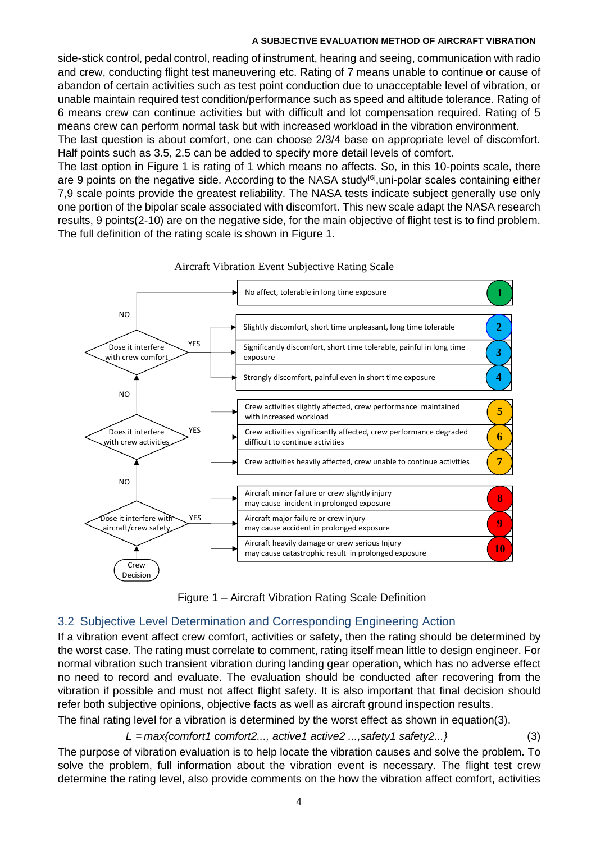#### **A SUBJECTIVE EVALUATION METHOD OF AIRCRAFT VIBRATION**

**IN FLIGHT TEST** side-stick control, pedal control, reading of instrument, hearing and seeing, communication with radio and crew, conducting flight test maneuvering etc. Rating of 7 means unable to continue or cause of abandon of certain activities such as test point conduction due to unacceptable level of vibration, or unable maintain required test condition/performance such as speed and altitude tolerance. Rating of 6 means crew can continue activities but with difficult and lot compensation required. Rating of 5 means crew can perform normal task but with increased workload in the vibration environment.

The last question is about comfort, one can choose 2/3/4 base on appropriate level of discomfort. Half points such as 3.5, 2.5 can be added to specify more detail levels of comfort.

The last option in Figure 1 is rating of 1 which means no affects. So, in this 10-points scale, there are 9 points on the negative side. According to the NASA study<sup>[6]</sup>, uni-polar scales containing either 7,9 scale points provide the greatest reliability. The NASA tests indicate subject generally use only one portion of the bipolar scale associated with discomfort. This new scale adapt the NASA research results, 9 points(2-10) are on the negative side, for the main objective of flight test is to find problem. The full definition of the rating scale is shown in Figure 1.



#### Aircraft Vibration Event Subjective Rating Scale

Figure 1 – Aircraft Vibration Rating Scale Definition

# 3.2 Subjective Level Determination and Corresponding Engineering Action

If a vibration event affect crew comfort, activities or safety, then the rating should be determined by the worst case. The rating must correlate to comment, rating itself mean little to design engineer. For normal vibration such transient vibration during landing gear operation, which has no adverse effect no need to record and evaluate. The evaluation should be conducted after recovering from the vibration if possible and must not affect flight safety. It is also important that final decision should refer both subjective opinions, objective facts as well as aircraft ground inspection results.

The final rating level for a vibration is determined by the worst effect as shown in equation(3).

*L* = *max{comfort1 comfort2..., active1 active2 ...,safety1 safety2...}* (3)

The purpose of vibration evaluation is to help locate the vibration causes and solve the problem. To solve the problem, full information about the vibration event is necessary. The flight test crew determine the rating level, also provide comments on the how the vibration affect comfort, activities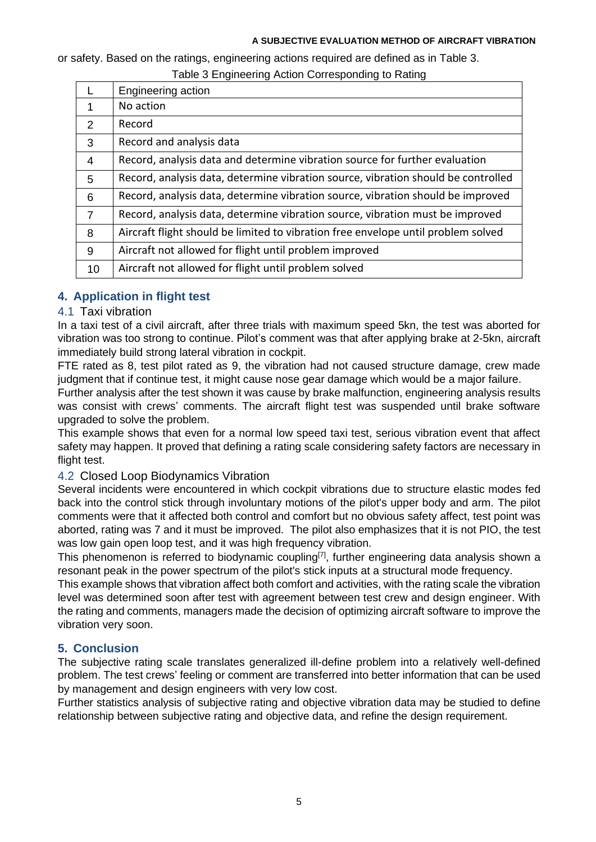#### **A SUBJECTIVE EVALUATION METHOD OF AIRCRAFT VIBRATION**

or safety. Based on the ratings, engineering actions required are defined as in Table 3.

#### Table 3 Engineering Action Corresponding to Rating

|    | Engineering action                                                                |
|----|-----------------------------------------------------------------------------------|
| 1  | No action                                                                         |
| 2  | Record                                                                            |
| 3  | Record and analysis data                                                          |
| 4  | Record, analysis data and determine vibration source for further evaluation       |
| 5  | Record, analysis data, determine vibration source, vibration should be controlled |
| 6  | Record, analysis data, determine vibration source, vibration should be improved   |
| 7  | Record, analysis data, determine vibration source, vibration must be improved     |
| 8  | Aircraft flight should be limited to vibration free envelope until problem solved |
| 9  | Aircraft not allowed for flight until problem improved                            |
| 10 | Aircraft not allowed for flight until problem solved                              |

# **4. Application in flight test**

### 4.1 Taxi vibration

In a taxi test of a civil aircraft, after three trials with maximum speed 5kn, the test was aborted for vibration was too strong to continue. Pilot's comment was that after applying brake at 2-5kn, aircraft immediately build strong lateral vibration in cockpit.

FTE rated as 8, test pilot rated as 9, the vibration had not caused structure damage, crew made judgment that if continue test, it might cause nose gear damage which would be a major failure.

Further analysis after the test shown it was cause by brake malfunction, engineering analysis results was consist with crews' comments. The aircraft flight test was suspended until brake software upgraded to solve the problem.

This example shows that even for a normal low speed taxi test, serious vibration event that affect safety may happen. It proved that defining a rating scale considering safety factors are necessary in flight test.

#### 4.2 Closed Loop Biodynamics Vibration

Several incidents were encountered in which cockpit vibrations due to structure elastic modes fed back into the control stick through involuntary motions of the pilot's upper body and arm. The pilot comments were that it affected both control and comfort but no obvious safety affect, test point was aborted, rating was 7 and it must be improved. The pilot also emphasizes that it is not PIO, the test was low gain open loop test, and it was high frequency vibration.

This phenomenon is referred to biodynamic coupling<sup>[7]</sup>, further engineering data analysis shown a resonant peak in the power spectrum of the pilot's stick inputs at a structural mode frequency.

This example shows that vibration affect both comfort and activities, with the rating scale the vibration level was determined soon after test with agreement between test crew and design engineer. With the rating and comments, managers made the decision of optimizing aircraft software to improve the vibration very soon.

# **5. Conclusion**

The subjective rating scale translates generalized ill-define problem into a relatively well-defined problem. The test crews' feeling or comment are transferred into better information that can be used by management and design engineers with very low cost.

Further statistics analysis of subjective rating and objective vibration data may be studied to define relationship between subjective rating and objective data, and refine the design requirement.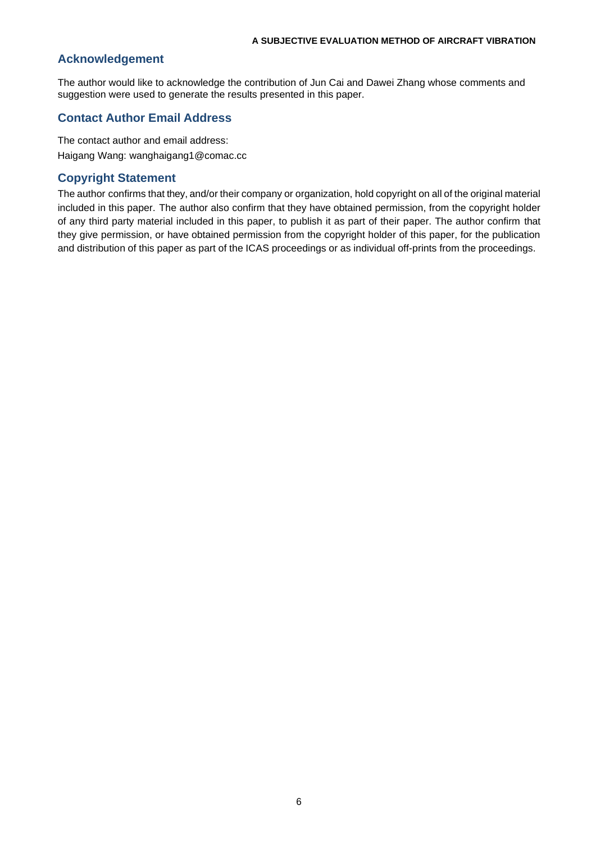#### **Acknowledgement**

The author would like to acknowledge the contribution of Jun Cai and Dawei Zhang whose comments and suggestion were used to generate the results presented in this paper.

**IN FLIGHT TEST**

#### **Contact Author Email Address**

The contact author and email address: Haigang Wang: wanghaigang1@comac.cc

#### **Copyright Statement**

The author confirms that they, and/or their company or organization, hold copyright on all of the original material included in this paper. The author also confirm that they have obtained permission, from the copyright holder of any third party material included in this paper, to publish it as part of their paper. The author confirm that they give permission, or have obtained permission from the copyright holder of this paper, for the publication and distribution of this paper as part of the ICAS proceedings or as individual off-prints from the proceedings.